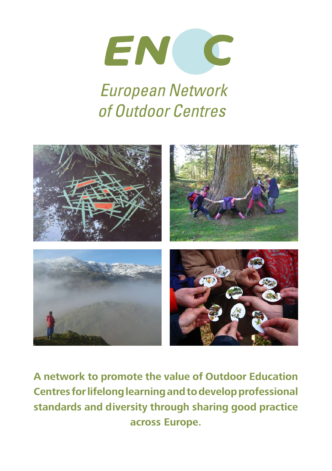

# **European Network** of Outdoor Centres



**A network to promote the value of Outdoor Education Centres for lifelong learning and to develop professional standards and diversity through sharing good practice across Europe.**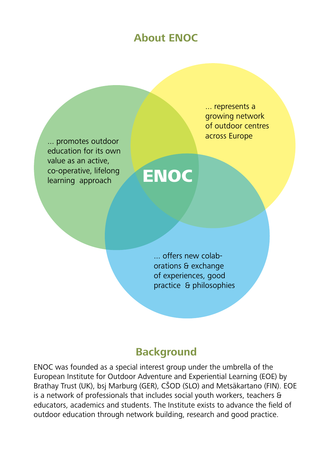## **About ENOC**

... promotes outdoor education for its own value as an active, co-operative, lifelong co-operative, lifelong<br>learning approach ENOC

... represents a growing network of outdoor centres across Europe

... offers new colaborations & exchange of experiences, good practice & philosophies

### **Background**

ENOC was founded as a special interest group under the umbrella of the European Institute for Outdoor Adventure and Experiential Learning (EOE) by Brathay Trust (UK), bsj Marburg (GER), CŠOD (SLO) and Metsäkartano (FIN). EOE is a network of professionals that includes social youth workers, teachers & educators, academics and students. The Institute exists to advance the field of outdoor education through network building, research and good practice.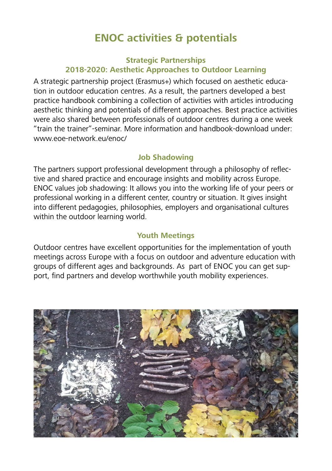## **ENOC activities & potentials**

#### **Strategic Partnerships 2018-2020: Aesthetic Approaches to Outdoor Learning**

A strategic partnership project (Erasmus+) which focused on aesthetic education in outdoor education centres. As a result, the partners developed a best practice handbook combining a collection of activities with articles introducing aesthetic thinking and potentials of different approaches. Best practice activities were also shared between professionals of outdoor centres during a one week "train the trainer"-seminar. More information and handbook-download under: www.eoe-network.eu/enoc/

#### **Job Shadowing**

The partners support professional development through a philosophy of reflective and shared practice and encourage insights and mobility across Europe. ENOC values job shadowing: It allows you into the working life of your peers or professional working in a different center, country or situation. It gives insight into different pedagogies, philosophies, employers and organisational cultures within the outdoor learning world.

#### **Youth Meetings**

Outdoor centres have excellent opportunities for the implementation of youth meetings across Europe with a focus on outdoor and adventure education with groups of different ages and backgrounds. As part of ENOC you can get support, find partners and develop worthwhile youth mobility experiences.